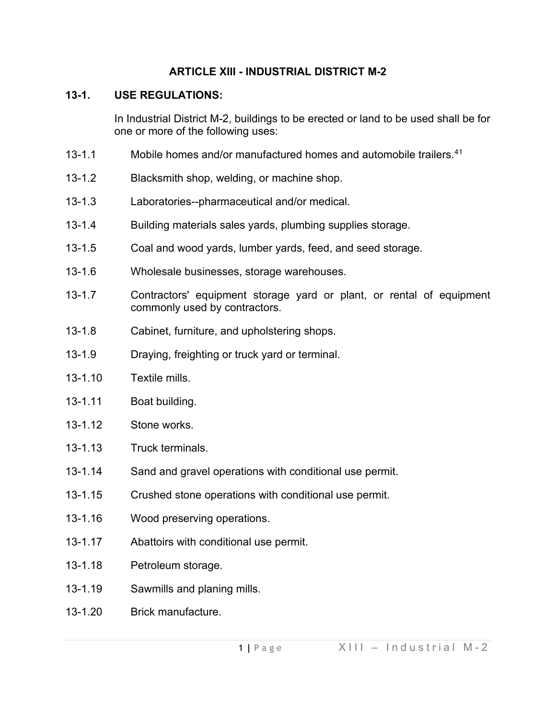## **ARTICLE XIII - INDUSTRIAL DISTRICT M-2**

# **13-1. USE REGULATIONS:**

In Industrial District M-2, buildings to be erected or land to be used shall be for one or more of the following uses:

- 13-1.1 Mobile homes and/or manufactured homes and automobile trailers.<sup>[41](#page-6-0)</sup>
- 13-1.2 Blacksmith shop, welding, or machine shop.
- 13-1.3 Laboratories--pharmaceutical and/or medical.
- 13-1.4 Building materials sales yards, plumbing supplies storage.
- 13-1.5 Coal and wood yards, lumber yards, feed, and seed storage.
- 13-1.6 Wholesale businesses, storage warehouses.
- 13-1.7 Contractors' equipment storage yard or plant, or rental of equipment commonly used by contractors.
- 13-1.8 Cabinet, furniture, and upholstering shops.
- 13-1.9 Draying, freighting or truck yard or terminal.
- 13-1.10 Textile mills.
- 13-1.11 Boat building.
- 13-1.12 Stone works
- 13-1.13 Truck terminals.
- 13-1.14 Sand and gravel operations with conditional use permit.
- 13-1.15 Crushed stone operations with conditional use permit.
- 13-1.16 Wood preserving operations.
- 13-1.17 Abattoirs with conditional use permit.
- 13-1.18 Petroleum storage.
- 13-1.19 Sawmills and planing mills.
- 13-1.20 Brick manufacture.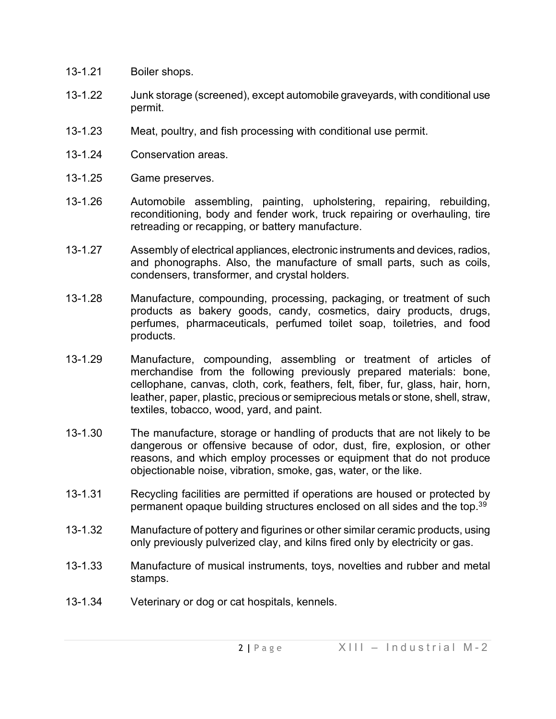- 13-1.21 Boiler shops.
- 13-1.22 Junk storage (screened), except automobile graveyards, with conditional use permit.
- 13-1.23 Meat, poultry, and fish processing with conditional use permit.
- 13-1.24 Conservation areas.
- 13-1.25 Game preserves.
- 13-1.26 Automobile assembling, painting, upholstering, repairing, rebuilding, reconditioning, body and fender work, truck repairing or overhauling, tire retreading or recapping, or battery manufacture.
- 13-1.27 Assembly of electrical appliances, electronic instruments and devices, radios, and phonographs. Also, the manufacture of small parts, such as coils, condensers, transformer, and crystal holders.
- 13-1.28 Manufacture, compounding, processing, packaging, or treatment of such products as bakery goods, candy, cosmetics, dairy products, drugs, perfumes, pharmaceuticals, perfumed toilet soap, toiletries, and food products.
- 13-1.29 Manufacture, compounding, assembling or treatment of articles of merchandise from the following previously prepared materials: bone, cellophane, canvas, cloth, cork, feathers, felt, fiber, fur, glass, hair, horn, leather, paper, plastic, precious or semiprecious metals or stone, shell, straw, textiles, tobacco, wood, yard, and paint.
- 13-1.30 The manufacture, storage or handling of products that are not likely to be dangerous or offensive because of odor, dust, fire, explosion, or other reasons, and which employ processes or equipment that do not produce objectionable noise, vibration, smoke, gas, water, or the like.
- 13-1.31 Recycling facilities are permitted if operations are housed or protected by permanent opaque building structures enclosed on all sides and the top.<sup>3[9](#page-6-1)</sup>
- 13-1.32 Manufacture of pottery and figurines or other similar ceramic products, using only previously pulverized clay, and kilns fired only by electricity or gas.
- 13-1.33 Manufacture of musical instruments, toys, novelties and rubber and metal stamps.
- 13-1.34 Veterinary or dog or cat hospitals, kennels.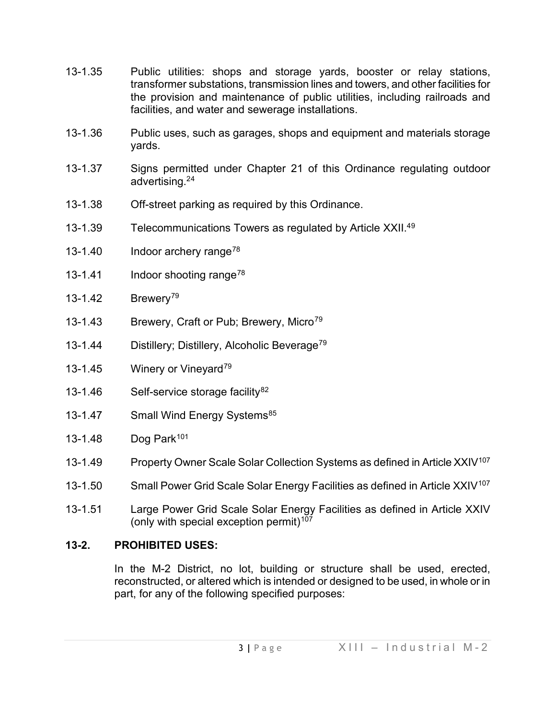- 13-1.35 Public utilities: shops and storage yards, booster or relay stations, transformer substations, transmission lines and towers, and other facilities for the provision and maintenance of public utilities, including railroads and facilities, and water and sewerage installations.
- 13-1.36 Public uses, such as garages, shops and equipment and materials storage yards.
- 13-1.37 Signs permitted under Chapter 21 of this Ordinance regulating outdoor advertising.2[4](#page-6-2)
- 13-1.38 Off-street parking as required by this Ordinance.
- 13-1.3[9](#page-6-3) Telecommunications Towers as regulated by Article XXII.<sup>49</sup>
- 13-1.40 Indoor archery range<sup>[78](#page-6-4)</sup>
- 13-1.41 Indoor shooting range<sup>[78](#page-6-5)</sup>
- 13-1.42 Brewery<sup>[79](#page-6-6)</sup>
- 13-1.43 Brewery, Craft or Pub; Brewery, Micro<sup>[79](#page-6-7)</sup>
- 13-1.44 Distillery; Distillery, Alcoholic Beverage[79](#page-6-8)
- 13-1.45 Winery or Vineyard<sup>79</sup>
- 13-1.46 Self-service storage facility $82$
- 13-1.47 Small Wind Energy Systems<sup>[85](#page-6-11)</sup>
- 13-1.48 Dog Park<sup>[101](#page-6-12)</sup>
- 13-1.49 Property Owner Scale Solar Collection Systems as defined in Article XXIV<sup>[107](#page-6-13)</sup>
- 13-1.50 Small Power Grid Scale Solar Energy Facilities as defined in Article XXIV<sup>[107](#page-6-14)</sup>
- 13-1.51 Large Power Grid Scale Solar Energy Facilities as defined in Article XXIV (only with special exception permit)<sup>[107](#page-6-15)</sup>

## **13-2. PROHIBITED USES:**

In the M-2 District, no lot, building or structure shall be used, erected, reconstructed, or altered which is intended or designed to be used, in whole or in part, for any of the following specified purposes: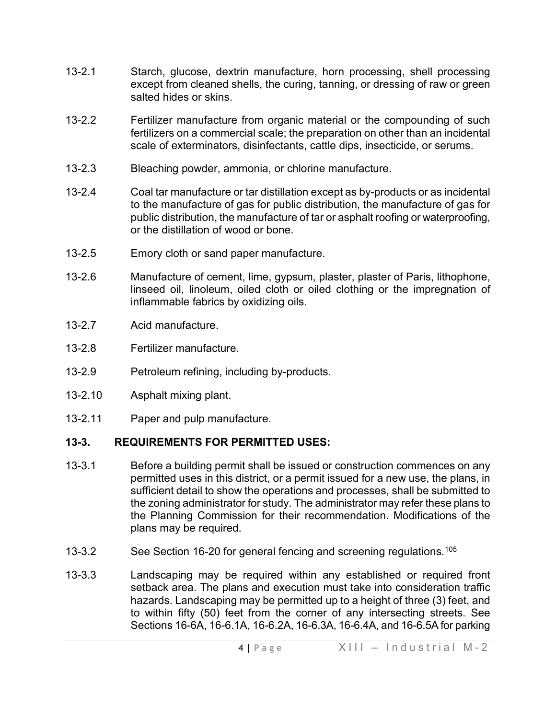- 13-2.1 Starch, glucose, dextrin manufacture, horn processing, shell processing except from cleaned shells, the curing, tanning, or dressing of raw or green salted hides or skins.
- 13-2.2 Fertilizer manufacture from organic material or the compounding of such fertilizers on a commercial scale; the preparation on other than an incidental scale of exterminators, disinfectants, cattle dips, insecticide, or serums.
- 13-2.3 Bleaching powder, ammonia, or chlorine manufacture.
- 13-2.4 Coal tar manufacture or tar distillation except as by-products or as incidental to the manufacture of gas for public distribution, the manufacture of gas for public distribution, the manufacture of tar or asphalt roofing or waterproofing, or the distillation of wood or bone.
- 13-2.5 Emory cloth or sand paper manufacture.
- 13-2.6 Manufacture of cement, lime, gypsum, plaster, plaster of Paris, lithophone, linseed oil, linoleum, oiled cloth or oiled clothing or the impregnation of inflammable fabrics by oxidizing oils.
- 13-2.7 Acid manufacture.
- 13-2.8 Fertilizer manufacture.
- 13-2.9 Petroleum refining, including by-products.
- 13-2.10 Asphalt mixing plant.
- 13-2.11 Paper and pulp manufacture.

## **13-3. REQUIREMENTS FOR PERMITTED USES:**

- 13-3.1 Before a building permit shall be issued or construction commences on any permitted uses in this district, or a permit issued for a new use, the plans, in sufficient detail to show the operations and processes, shall be submitted to the zoning administrator for study. The administrator may refer these plans to the Planning Commission for their recommendation. Modifications of the plans may be required.
- 13-3.2 See Section 16-20 for general fencing and screening regulations.<sup>[105](#page-6-16)</sup>
- 13-3.3 Landscaping may be required within any established or required front setback area. The plans and execution must take into consideration traffic hazards. Landscaping may be permitted up to a height of three (3) feet, and to within fifty (50) feet from the corner of any intersecting streets. See Sections 16-6A, 16-6.1A, 16-6.2A, 16-6.3A, 16-6.4A, and 16-6.5A for parking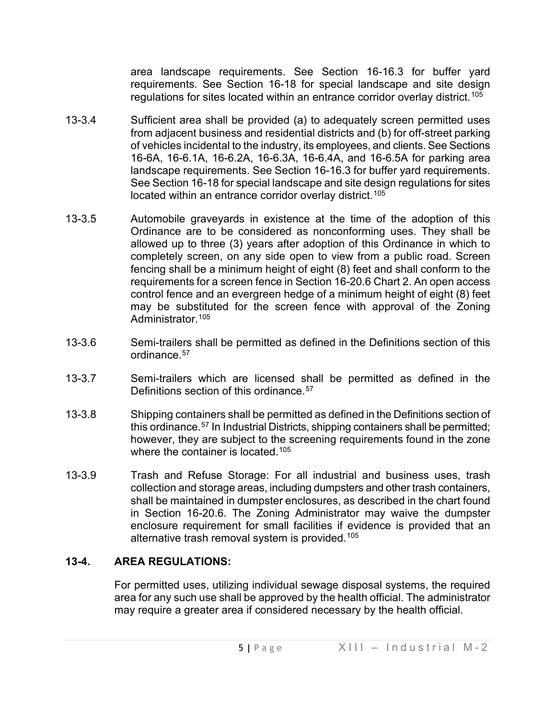area landscape requirements. See Section 16-16.3 for buffer yard requirements. See Section 16-18 for special landscape and site design regulations for sites located within an entrance corridor overlay district.<sup>[105](#page-6-17)</sup>

- 13-3.4 Sufficient area shall be provided (a) to adequately screen permitted uses from adjacent business and residential districts and (b) for off-street parking of vehicles incidental to the industry, its employees, and clients. See Sections 16-6A, 16-6.1A, 16-6.2A, 16-6.3A, 16-6.4A, and 16-6.5A for parking area landscape requirements. See Section 16-16.3 for buffer yard requirements. See Section 16-18 for special landscape and site design regulations for sites located within an entrance corridor overlay district.<sup>[105](#page-6-18)</sup>
- 13-3.5 Automobile graveyards in existence at the time of the adoption of this Ordinance are to be considered as nonconforming uses. They shall be allowed up to three (3) years after adoption of this Ordinance in which to completely screen, on any side open to view from a public road. Screen fencing shall be a minimum height of eight (8) feet and shall conform to the requirements for a screen fence in Section 16-20.6 Chart 2. An open access control fence and an evergreen hedge of a minimum height of eight (8) feet may be substituted for the screen fence with approval of the Zoning Administrator.[105](#page-6-19)
- 13-3.6 Semi-trailers shall be permitted as defined in the Definitions section of this ordinance.[57](#page-6-20)
- 13-3.7 Semi-trailers which are licensed shall be permitted as defined in the Definitions section of this ordinance.<sup>[57](#page-6-21)</sup>
- 13-3.8 Shipping containers shall be permitted as defined in the Definitions section of this ordinance.[57](#page-6-22) In Industrial Districts, shipping containers shall be permitted; however, they are subject to the screening requirements found in the zone where the container is located.<sup>[105](#page-6-23)</sup>
- 13-3.9 Trash and Refuse Storage: For all industrial and business uses, trash collection and storage areas, including dumpsters and other trash containers, shall be maintained in dumpster enclosures, as described in the chart found in Section 16-20.6. The Zoning Administrator may waive the dumpster enclosure requirement for small facilities if evidence is provided that an alternative trash removal system is provided.<sup>[105](#page-6-24)</sup>

## **13-4. AREA REGULATIONS:**

For permitted uses, utilizing individual sewage disposal systems, the required area for any such use shall be approved by the health official. The administrator may require a greater area if considered necessary by the health official.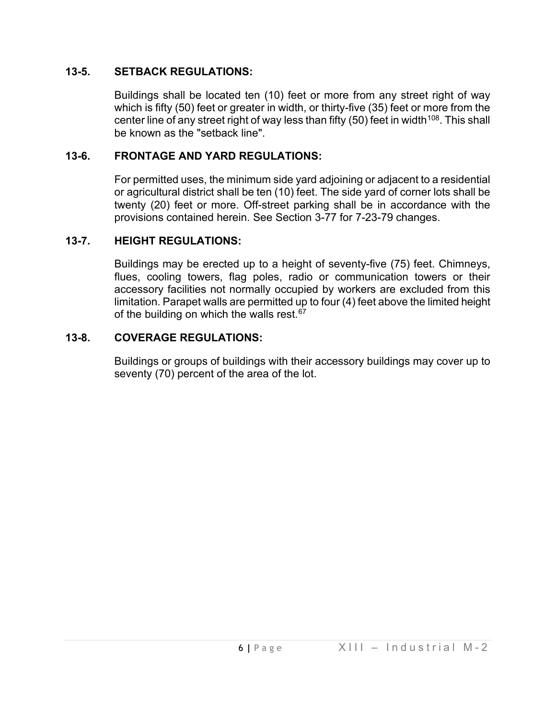#### **13-5. SETBACK REGULATIONS:**

Buildings shall be located ten (10) feet or more from any street right of way which is fifty (50) feet or greater in width, or thirty-five (35) feet or more from the center line of any street right of way less than fifty  $(50)$  feet in width<sup>[108](#page-6-25)</sup>. This shall be known as the "setback line".

#### **13-6. FRONTAGE AND YARD REGULATIONS:**

For permitted uses, the minimum side yard adjoining or adjacent to a residential or agricultural district shall be ten (10) feet. The side yard of corner lots shall be twenty (20) feet or more. Off-street parking shall be in accordance with the provisions contained herein. See Section 3-77 for 7-23-79 changes.

#### **13-7. HEIGHT REGULATIONS:**

Buildings may be erected up to a height of seventy-five (75) feet. Chimneys, flues, cooling towers, flag poles, radio or communication towers or their accessory facilities not normally occupied by workers are excluded from this limitation. Parapet walls are permitted up to four (4) feet above the limited height of the building on which the walls rest. $67$ 

#### **13-8. COVERAGE REGULATIONS:**

Buildings or groups of buildings with their accessory buildings may cover up to seventy (70) percent of the area of the lot.